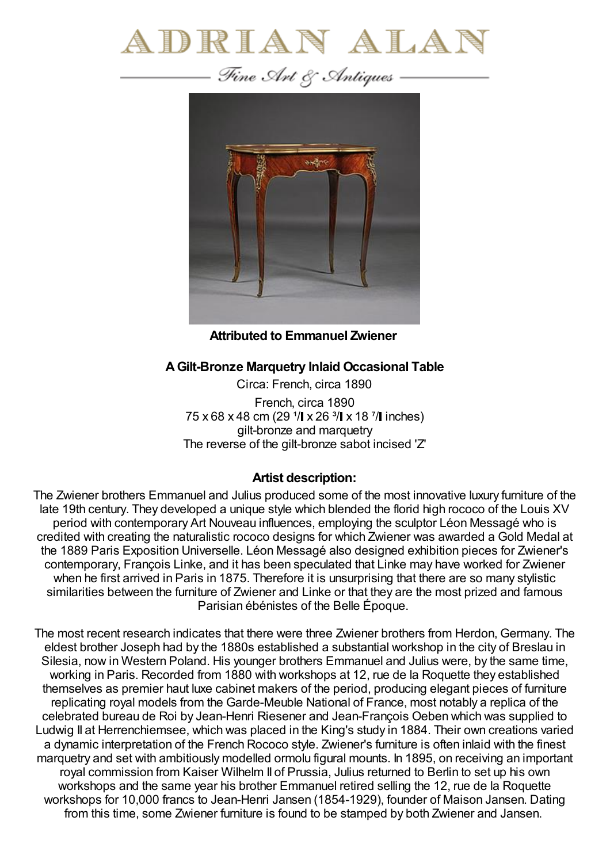

Fine Art & Antiques -



**Attributed to Emmanuel Zwiener**

## **AGilt-Bronze Marquetry Inlaid Occasional Table**

Circa: French, circa 1890 French, circa 1890 75 x 68 x 48 cm (29  $1/$  x 26  $3/$  x 18  $7/$  inches) gilt-bronze and marquetry The reverse of the gilt-bronze sabot incised 'Z'

## **Artist description:**

The Zwiener brothers Emmanuel and Julius produced some of the most innovative luxury furniture of the late 19th century. They developed a unique style which blended the florid high rococo of the Louis XV period with contemporary Art Nouveau influences, employing the sculptor Léon Messagé who is credited with creating the naturalistic rococo designs for which Zwiener was awarded a Gold Medal at the 1889 Paris Exposition Universelle. Léon Messagé also designed exhibition pieces for Zwiener's contemporary, François Linke, and it has been speculated that Linke may have worked for Zwiener when he first arrived in Paris in 1875. Therefore it is unsurprising that there are so many stylistic similarities between the furniture of Zwiener and Linke or that they are the most prized and famous Parisian ébénistes of the Belle Époque.

The most recent research indicates that there were three Zwiener brothers from Herdon, Germany. The eldest brother Joseph had by the 1880s established a substantial workshop in the city of Breslau in Silesia, now in Western Poland. His younger brothers Emmanuel and Julius were, by the same time, working in Paris. Recorded from 1880 with workshops at 12, rue de la Roquette they established themselves as premier haut luxe cabinet makers of the period, producing elegant pieces of furniture replicating royal models from the Garde-Meuble National of France, most notably a replica of the celebrated bureau de Roi by Jean-Henri Riesener and Jean-François Oeben which was supplied to Ludwig II at Herrenchiemsee, which was placed in the King's study in 1884. Their own creations varied a dynamic interpretation of the French Rococo style. Zwiener's furniture is often inlaid with the finest marquetry and set with ambitiously modelled ormolu figural mounts. In 1895, on receiving an important royal commission from Kaiser Wilhelm II of Prussia, Julius returned to Berlin to set up his own workshops and the same year his brother Emmanuel retired selling the 12, rue de la Roquette workshops for 10,000 francs to Jean-Henri Jansen (1854-1929), founder of Maison Jansen. Dating from this time, some Zwiener furniture is found to be stamped by both Zwiener and Jansen.